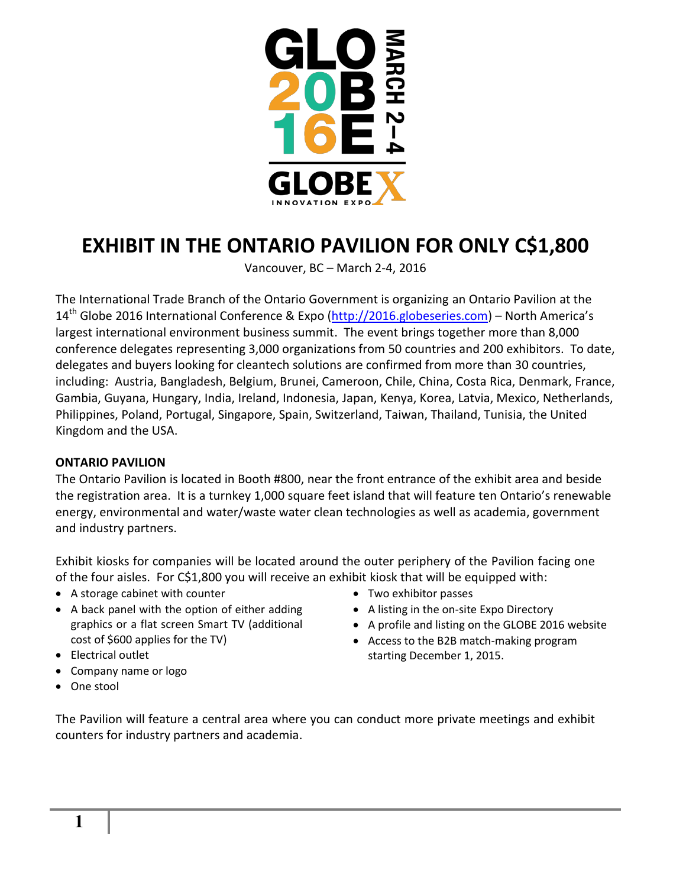

# **EXHIBIT IN THE ONTARIO PAVILION FOR ONLY C\$1,800**

Vancouver, BC – March 2-4, 2016

The International Trade Branch of the Ontario Government is organizing an Ontario Pavilion at the 14<sup>th</sup> Globe 2016 International Conference & Expo [\(http://2016.globeseries.com\)](http://2016.globeseries.com/) – North America's largest international environment business summit. The event brings together more than 8,000 conference delegates representing 3,000 organizations from 50 countries and 200 exhibitors. To date, delegates and buyers looking for cleantech solutions are confirmed from more than 30 countries, including: Austria, Bangladesh, Belgium, Brunei, Cameroon, Chile, China, Costa Rica, Denmark, France, Gambia, Guyana, Hungary, India, Ireland, Indonesia, Japan, Kenya, Korea, Latvia, Mexico, Netherlands, Philippines, Poland, Portugal, Singapore, Spain, Switzerland, Taiwan, Thailand, Tunisia, the United Kingdom and the USA.

## **ONTARIO PAVILION**

The Ontario Pavilion is located in Booth #800, near the front entrance of the exhibit area and beside the registration area. It is a turnkey 1,000 square feet island that will feature ten Ontario's renewable energy, environmental and water/waste water clean technologies as well as academia, government and industry partners.

Exhibit kiosks for companies will be located around the outer periphery of the Pavilion facing one of the four aisles. For C\$1,800 you will receive an exhibit kiosk that will be equipped with:

- A storage cabinet with counter
- A back panel with the option of either adding graphics or a flat screen Smart TV (additional cost of \$600 applies for the TV)
- Electrical outlet
- Company name or logo
- Two exhibitor passes A listing in the on-site Expo Directory
- A profile and listing on the GLOBE 2016 website
- Access to the B2B match-making program starting December 1, 2015.

One stool

The Pavilion will feature a central area where you can conduct more private meetings and exhibit counters for industry partners and academia.